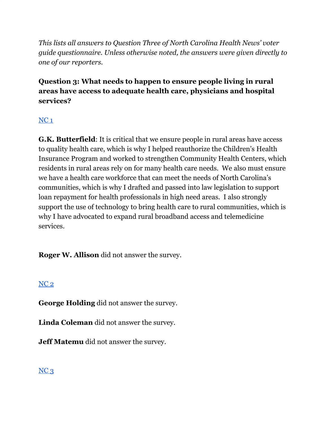*This lists all answers to Question Three of North Carolina Health News' voter guide questionnaire. Unless otherwise noted, the answers were given directly to one of our reporters.*

**Question 3: What needs to happen to ensure people living in rural areas have access to adequate health care, physicians and hospital services?**

# $NC<sub>1</sub>$  $NC<sub>1</sub>$

**G.K. Butterfield**: It is critical that we ensure people in rural areas have access to quality health care, which is why I helped reauthorize the Children's Health Insurance Program and worked to strengthen Community Health Centers, which residents in rural areas rely on for many health care needs. We also must ensure we have a health care workforce that can meet the needs of North Carolina's communities, which is why I drafted and passed into law legislation to support loan repayment for health professionals in high need areas. I also strongly support the use of technology to bring health care to rural communities, which is why I have advocated to expand rural broadband access and telemedicine services.

**Roger W. Allison** did not answer the survey.

# [NC](https://docs.google.com/document/d/1QKoGh33FjmS89YNY1wDfJ6fB9ikH0fC117WjizExMhc/edit?usp=sharing) 2

**George Holding** did not answer the survey.

**Linda Coleman** did not answer the survey.

**Jeff Matemu** did not answer the survey.

# $NC<sub>3</sub>$  $NC<sub>3</sub>$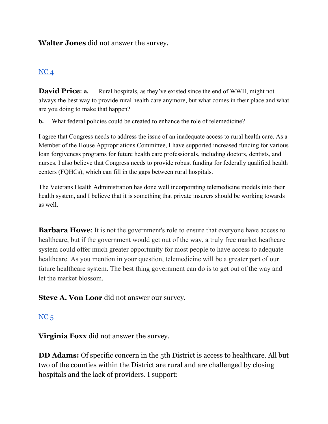#### **Walter Jones** did not answer the survey.

#### [NC](https://docs.google.com/document/d/1cAsotr6xS9I-V4NP1ueB3T1dzRsHO07YN2hMv9b4xU0/edit?usp=sharing) 4

**David Price: a.** Rural hospitals, as they've existed since the end of WWII, might not always the best way to provide rural health care anymore, but what comes in their place and what are you doing to make that happen?

**b.** What federal policies could be created to enhance the role of telemedicine?

I agree that Congress needs to address the issue of an inadequate access to rural health care. As a Member of the House Appropriations Committee, I have supported increased funding for various loan forgiveness programs for future health care professionals, including doctors, dentists, and nurses. I also believe that Congress needs to provide robust funding for federally qualified health centers (FQHCs), which can fill in the gaps between rural hospitals.

The Veterans Health Administration has done well incorporating telemedicine models into their health system, and I believe that it is something that private insurers should be working towards as well.

**Barbara Howe:** It is not the government's role to ensure that everyone have access to healthcare, but if the government would get out of the way, a truly free market heathcare system could offer much greater opportunity for most people to have access to adequate healthcare. As you mention in your question, telemedicine will be a greater part of our future healthcare system. The best thing government can do is to get out of the way and let the market blossom.

**Steve A. Von Loor** did not answer our survey.

#### $NC<sub>5</sub>$  $NC<sub>5</sub>$

**Virginia Foxx** did not answer the survey.

**DD Adams:** Of specific concern in the 5th District is access to healthcare. All but two of the counties within the District are rural and are challenged by closing hospitals and the lack of providers. I support: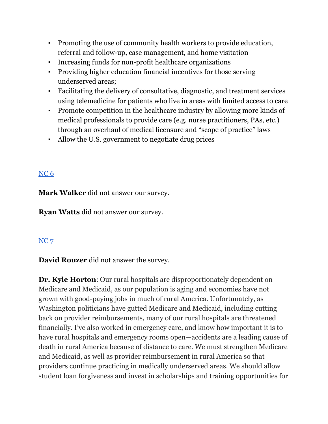- Promoting the use of community health workers to provide education, referral and follow-up, case management, and home visitation
- Increasing funds for non-profit healthcare organizations
- Providing higher education financial incentives for those serving underserved areas;
- Facilitating the delivery of consultative, diagnostic, and treatment services using telemedicine for patients who live in areas with limited access to care
- Promote competition in the healthcare industry by allowing more kinds of medical professionals to provide care (e.g. nurse practitioners, PAs, etc.) through an overhaul of medical licensure and "scope of practice" laws
- Allow the U.S. government to negotiate drug prices

### [NC](https://docs.google.com/document/d/1cAsotr6xS9I-V4NP1ueB3T1dzRsHO07YN2hMv9b4xU0/edit?usp=sharing) 6

**Mark Walker** did not answer our survey.

**Ryan Watts** did not answer our survey.

#### [NC](https://docs.google.com/document/d/1QKoGh33FjmS89YNY1wDfJ6fB9ikH0fC117WjizExMhc/edit?usp=sharing) 7

**David Rouzer** did not answer the survey.

**Dr. Kyle Horton**: Our rural hospitals are disproportionately dependent on Medicare and Medicaid, as our population is aging and economies have not grown with good-paying jobs in much of rural America. Unfortunately, as Washington politicians have gutted Medicare and Medicaid, including cutting back on provider reimbursements, many of our rural hospitals are threatened financially. I've also worked in emergency care, and know how important it is to have rural hospitals and emergency rooms open—accidents are a leading cause of death in rural America because of distance to care. We must strengthen Medicare and Medicaid, as well as provider reimbursement in rural America so that providers continue practicing in medically underserved areas. We should allow student loan forgiveness and invest in scholarships and training opportunities for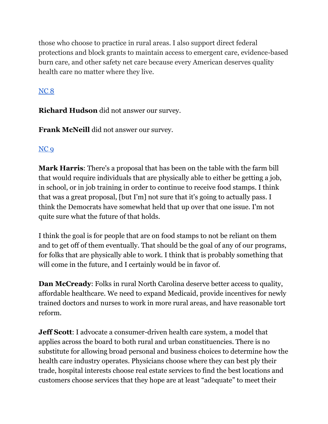those who choose to practice in rural areas. I also support direct federal protections and block grants to maintain access to emergent care, evidence-based burn care, and other safety net care because every American deserves quality health care no matter where they live.

# [NC](https://docs.google.com/document/d/1cAsotr6xS9I-V4NP1ueB3T1dzRsHO07YN2hMv9b4xU0/edit?usp=sharing) 8

**Richard Hudson** did not answer our survey.

**Frank McNeill** did not answer our survey.

# [NC](https://docs.google.com/document/d/1cAsotr6xS9I-V4NP1ueB3T1dzRsHO07YN2hMv9b4xU0/edit?usp=sharing) 9

**Mark Harris**: There's a proposal that has been on the table with the farm bill that would require individuals that are physically able to either be getting a job, in school, or in job training in order to continue to receive food stamps. I think that was a great proposal, [but I'm] not sure that it's going to actually pass. I think the Democrats have somewhat held that up over that one issue. I'm not quite sure what the future of that holds.

I think the goal is for people that are on food stamps to not be reliant on them and to get off of them eventually. That should be the goal of any of our programs, for folks that are physically able to work. I think that is probably something that will come in the future, and I certainly would be in favor of.

**Dan McCready**: Folks in rural North Carolina deserve better access to quality, affordable healthcare. We need to expand Medicaid, provide incentives for newly trained doctors and nurses to work in more rural areas, and have reasonable tort reform.

**Jeff Scott**: I advocate a consumer-driven health care system, a model that applies across the board to both rural and urban constituencies. There is no substitute for allowing broad personal and business choices to determine how the health care industry operates. Physicians choose where they can best ply their trade, hospital interests choose real estate services to find the best locations and customers choose services that they hope are at least "adequate" to meet their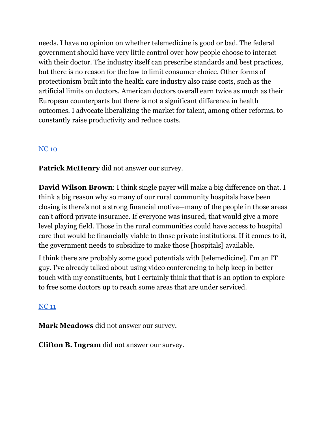needs. I have no opinion on whether telemedicine is good or bad. The federal government should have very little control over how people choose to interact with their doctor. The industry itself can prescribe standards and best practices, but there is no reason for the law to limit consumer choice. Other forms of protectionism built into the health care industry also raise costs, such as the artificial limits on doctors. American doctors overall earn twice as much as their European counterparts but there is not a significant difference in health outcomes. I advocate liberalizing the market for talent, among other reforms, to constantly raise productivity and reduce costs.

# [NC](https://docs.google.com/document/d/1EwcDTcuh6JGaw8mrxqMd1mif60VC1AoJttBCXQFIKtA/edit?usp=sharing) 10

**Patrick McHenry** did not answer our survey.

**David Wilson Brown**: I think single payer will make a big difference on that. I think a big reason why so many of our rural community hospitals have been closing is there's not a strong financial motive—many of the people in those areas can't afford private insurance. If everyone was insured, that would give a more level playing field. Those in the rural communities could have access to hospital care that would be financially viable to those private institutions. If it comes to it, the government needs to subsidize to make those [hospitals] available.

I think there are probably some good potentials with [telemedicine]. I'm an IT guy. I've already talked about using video conferencing to help keep in better touch with my constituents, but I certainly think that that is an option to explore to free some doctors up to reach some areas that are under serviced.

# [NC](https://docs.google.com/document/d/1EwcDTcuh6JGaw8mrxqMd1mif60VC1AoJttBCXQFIKtA/edit?usp=sharing) 11

**Mark Meadows** did not answer our survey.

**Clifton B. Ingram** did not answer our survey.